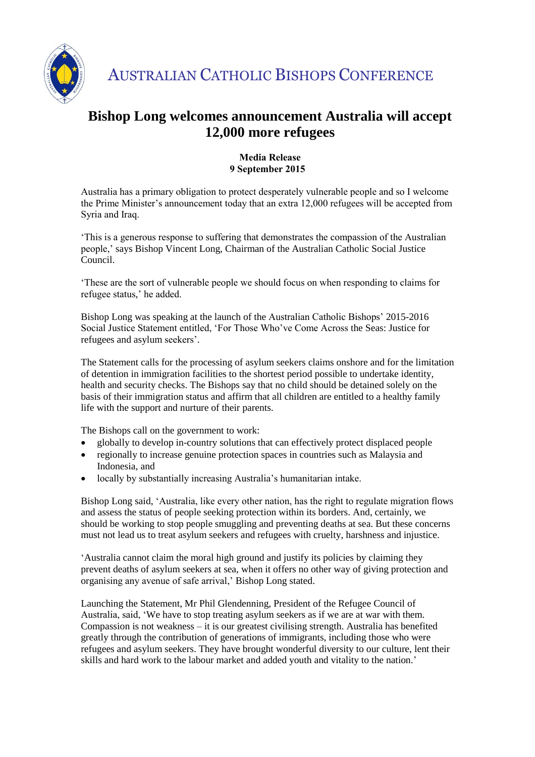

AUSTRALIAN CATHOLIC BISHOPS CONFERENCE

## **Bishop Long welcomes announcement Australia will accept 12,000 more refugees**

## **Media Release 9 September 2015**

Australia has a primary obligation to protect desperately vulnerable people and so I welcome the Prime Minister's announcement today that an extra 12,000 refugees will be accepted from Syria and Iraq.

'This is a generous response to suffering that demonstrates the compassion of the Australian people,' says Bishop Vincent Long, Chairman of the Australian Catholic Social Justice Council.

'These are the sort of vulnerable people we should focus on when responding to claims for refugee status,' he added.

Bishop Long was speaking at the launch of the Australian Catholic Bishops' 2015-2016 Social Justice Statement entitled, 'For Those Who've Come Across the Seas: Justice for refugees and asylum seekers'.

The Statement calls for the processing of asylum seekers claims onshore and for the limitation of detention in immigration facilities to the shortest period possible to undertake identity, health and security checks. The Bishops say that no child should be detained solely on the basis of their immigration status and affirm that all children are entitled to a healthy family life with the support and nurture of their parents.

The Bishops call on the government to work:

- globally to develop in-country solutions that can effectively protect displaced people
- regionally to increase genuine protection spaces in countries such as Malaysia and Indonesia, and
- locally by substantially increasing Australia's humanitarian intake.

Bishop Long said, 'Australia, like every other nation, has the right to regulate migration flows and assess the status of people seeking protection within its borders. And, certainly, we should be working to stop people smuggling and preventing deaths at sea. But these concerns must not lead us to treat asylum seekers and refugees with cruelty, harshness and injustice.

'Australia cannot claim the moral high ground and justify its policies by claiming they prevent deaths of asylum seekers at sea, when it offers no other way of giving protection and organising any avenue of safe arrival,' Bishop Long stated.

Launching the Statement, Mr Phil Glendenning, President of the Refugee Council of Australia, said, 'We have to stop treating asylum seekers as if we are at war with them. Compassion is not weakness – it is our greatest civilising strength. Australia has benefited greatly through the contribution of generations of immigrants, including those who were refugees and asylum seekers. They have brought wonderful diversity to our culture, lent their skills and hard work to the labour market and added youth and vitality to the nation.'